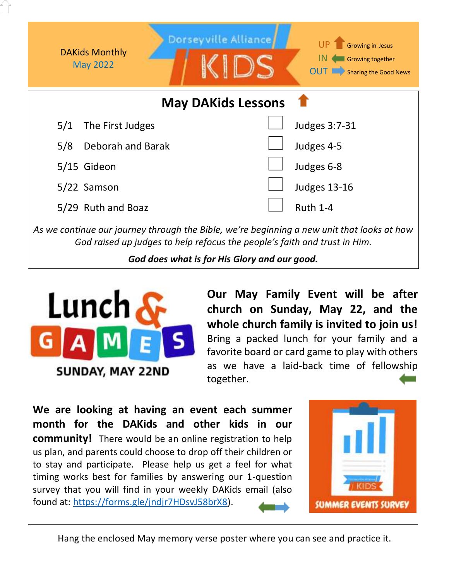

*God raised up judges to help refocus the people's faith and trust in Him.* 

*God does what is for His Glory and our good.*



**Our May Family Event will be after church on Sunday, May 22, and the whole church family is invited to join us!** Bring a packed lunch for your family and a favorite board or card game to play with others as we have a laid-back time of fellowship together.

**We are looking at having an event each summer month for the DAKids and other kids in our community!** There would be an online registration to help us plan, and parents could choose to drop off their children or to stay and participate. Please help us get a feel for what timing works best for families by answering our 1-question survey that you will find in your weekly DAKids email (also found at: [https://forms.gle/jndjr7HDsvJ58brX8\)](https://forms.gle/jndjr7HDsvJ58brX8).



Hang the enclosed May memory verse poster where you can see and practice it.